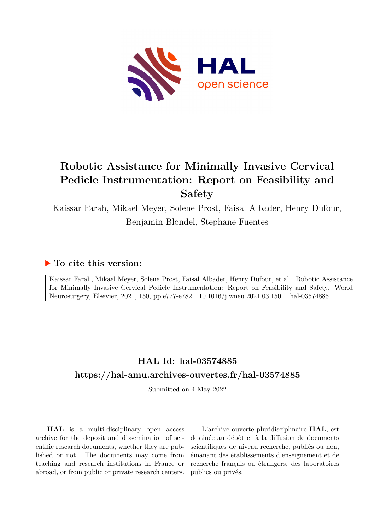

# **Robotic Assistance for Minimally Invasive Cervical Pedicle Instrumentation: Report on Feasibility and Safety**

Kaissar Farah, Mikael Meyer, Solene Prost, Faisal Albader, Henry Dufour, Benjamin Blondel, Stephane Fuentes

# **To cite this version:**

Kaissar Farah, Mikael Meyer, Solene Prost, Faisal Albader, Henry Dufour, et al.. Robotic Assistance for Minimally Invasive Cervical Pedicle Instrumentation: Report on Feasibility and Safety. World Neurosurgery, Elsevier, 2021, 150, pp.e777-e782. 10.1016/j.wneu.2021.03.150 . hal-03574885

# **HAL Id: hal-03574885 <https://hal-amu.archives-ouvertes.fr/hal-03574885>**

Submitted on 4 May 2022

**HAL** is a multi-disciplinary open access archive for the deposit and dissemination of scientific research documents, whether they are published or not. The documents may come from teaching and research institutions in France or abroad, or from public or private research centers.

L'archive ouverte pluridisciplinaire **HAL**, est destinée au dépôt et à la diffusion de documents scientifiques de niveau recherche, publiés ou non, émanant des établissements d'enseignement et de recherche français ou étrangers, des laboratoires publics ou privés.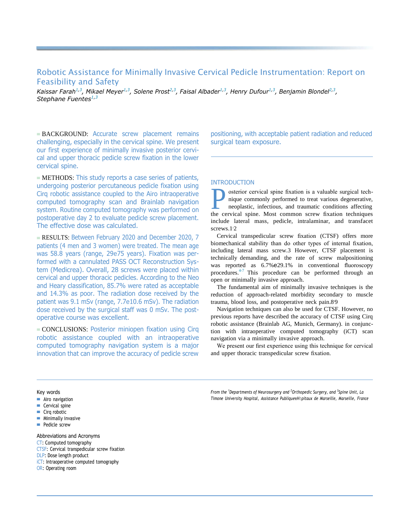# Robotic Assistance for Minimally Invasive Cervical Pedicle Instrumentation: Report on Feasibility and Safety

Kaissar Farah $^{1,3}$ , Mikael Meyer $^{1,3}$ , Solene Prost $^{2,3}$ , Faisal Albader $^{1,3}$ , Henry Dufour $^{1,3}$ , Benjamin Blondel $^{2,3}$ , *Stephane Fuentes1,3*

■ BACKGROUND: Accurate screw placement remains challenging, especially in the cervical spine. We present our first experience of minimally invasive posterior cervical and upper thoracic pedicle screw fixation in the lower cervical spine.

■ METHODS: This study reports a case series of patients, undergoing posterior percutaneous pedicle fixation using Cirq robotic assistance coupled to the Airo intraoperative computed tomography scan and Brainlab navigation system. Routine computed tomography was performed on postoperative day 2 to evaluate pedicle screw placement. The effective dose was calculated.

■ RESULTS: Between February 2020 and December 2020, 7 patients (4 men and 3 women) were treated. The mean age was 58.8 years (range, 29e75 years). Fixation was performed with a cannulated PASS OCT Reconstruction System (Medicrea). Overall, 28 screws were placed within cervical and upper thoracic pedicles. According to the Neo and Heary classification, 85.7% were rated as acceptable and 14.3% as poor. The radiation dose received by the patient was 9.1 mSv (range, 7.7e10.6 mSv). The radiation dose received by the surgical staff was 0 mSv. The postoperative course was excellent.

■ CONCLUSIONS: Posterior miniopen fixation using Cirq robotic assistance coupled with an intraoperative computed tomography navigation system is a major innovation that can improve the accuracy of pedicle screw

positioning, with acceptable patient radiation and reduced surgical team exposure.

# INTRODUCTION

**EXECUTE:** Osterior cervical spine fixation is a valuable surgical technique commonly performed to treat various degenerative, neoplastic, infectious, and traumatic conditions affecting the cervical spine. Most common scre osterior cervical spine fixation is a valuable surgical technique commonly performed to treat various degenerative, neoplastic, infectious, and traumatic conditions affecting include lateral mass, pedicle, intralaminar, and transfacet screws[.1](#page-5-0)<sup>[2](#page-5-1)</sup>

Cervical transpedicular screw fixation (CTSF) offers more biomechanical stability than do other types of internal fixation, including lateral mass screw[.3](#page-5-2) However, CTSF placement is technically demanding, and the rate of screw malpositioning was reported as  $6.7\%$  e29.1% in conventional fluoroscopy procedures.[4-7](#page-5-3) This procedure can be performed through an open or minimally invasive approach.

The fundamental aim of minimally invasive techniques is the reduction of approach-related morbidity secondary to muscle trauma, blood loss, and postoperative neck pain[.8](#page-5-4)[9](#page-5-5)

Navigation techniques can also be used for CTSF. However, no previous reports have described the accuracy of CTSF using Cirq robotic assistance (Brainlab AG, Munich, Germany). in conjunction with intraoperative computed tomography (iCT) scan navigation via a minimally invasive approach.

We present our first experience using this technique for cervical and upper thoracic transpedicular screw fixation.

# Key words

- Airo navigation
- Cervical spine
- Cirq robotic
- Minimally invasive
- Pedicle screw

#### Abbreviations and Acronyms

- CT: Computed tomography
- CTSF: Cervical transpedicular screw fixation
- DLP: Dose length product
- iCT: Intraoperative computed tomography
- OR: Operating room

*From the <sup>1</sup>Departments of Neurosurgery and <sup>2</sup>Orthopedic Surgery, and <sup>3</sup> Spine Unit, La Timone University Hospital, Assistance Publique*e*H*ô*pitaux de Marseille, Marseille, France*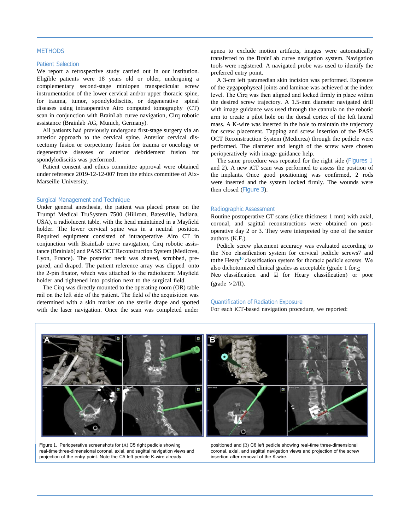# **METHODS**

### Patient Selection

We report a retrospective study carried out in our institution. Eligible patients were 18 years old or older, undergoing a complementary second-stage miniopen transpedicular screw instrumentation of the lower cervical and/or upper thoracic spine, for trauma, tumor, spondylodiscitis, or degenerative spinal diseases using intraoperative Airo computed tomography (CT) scan in conjunction with BrainLab curve navigation, Cirq robotic assistance (Brainlab AG, Munich, Germany).

All patients had previously undergone first-stage surgery via an anterior approach to the cervical spine. Anterior cervical discectomy fusion or corpectomy fusion for trauma or oncology or degenerative diseases or anterior debridement fusion for spondylodiscitis was performed.

Patient consent and ethics committee approval were obtained under reference 2019-12-12-007 from the ethics committee of Aix-Marseille University.

### Surgical Management and Technique

Under general anesthesia, the patient was placed prone on the Trumpf Medical TruSystem 7500 (Hillrom, Batesville, Indiana, USA), a radiolucent table, with the head maintained in a Mayfield holder. The lower cervical spine was in a neutral position. Required equipment consisted of intraoperative Airo CT in conjunction with BrainLab curve navigation, Cirq robotic assistance (Brainlab) and PASS OCT Reconstruction System (Medicrea, Lyon, France). The posterior neck was shaved, scrubbed, prepared, and draped. The patient reference array was clipped onto the 2-pin fixator, which was attached to the radiolucent Mayfield holder and tightened into position next to the surgical field.

The Cirq was directly mounted to the operating room (OR) table rail on the left side of the patient. The field of the acquisition was determined with a skin marker on the sterile drape and spotted with the laser navigation. Once the scan was completed under

apnea to exclude motion artifacts, images were automatically transferred to the BrainLab curve navigation system. Navigation tools were registered. A navigated probe was used to identify the preferred entry point.

A 3-cm left paramedian skin incision was performed. Exposure of the zygapophyseal joints and laminae was achieved at the index level. The Cirq was then aligned and locked firmly in place within the desired screw trajectory. A 1.5-mm diameter navigated drill with image guidance was used through the cannula on the robotic arm to create a pilot hole on the dorsal cortex of the left lateral mass. A K-wire was inserted in the hole to maintain the trajectory for screw placement. Tapping and screw insertion of the PASS OCT Reconstruction System (Medicrea) through the pedicle were performed. The diameter and length of the screw were chosen perioperatively with image guidance help.

The same procedure was repeated for the right side ([Figures](#page-2-0) 1 and [2\)](#page-3-0). A new iCT scan was performed to assess the position of the implants. Once good positioning was confirmed, 2 rods were inserted and the system locked firmly. The wounds were then closed ([Figure](#page-3-0) 3).

# Radiographic Assessment

Routine postoperative CT scans (slice thickness 1 mm) with axial, coronal, and sagittal reconstructions were obtained on postoperative day 2 or 3. They were interpreted by one of the senior authors (K.F.).

Neo classification and **U** for Heary classification) or poor also dichotomized clinical grades as acceptable (grade 1 for $\leq$ Pedicle screw placement accuracy was evaluated according to the Neo classification system for cervical pedicle screw[s7](#page-5-6) and tothe Heary<sup>10</sup> classification system for thoracic pedicle screws. We  $\text{(grade } > 2/\text{II}).$ 

#### Quantification of Radiation Exposure

For each iCT-based navigation procedure, we reported:



<span id="page-2-0"></span>Figure 1. Perioperative screenshots for (A) C5 right pedicle showing real-time three-dimensional coronal, axial, and sagittal navigation views and projection of the entry point. Note the C5 left pedicle K-wire already

positioned and (B) C6 left pedicle showing real-time three-dimensional coronal, axial, and sagittal navigation views and projection of the screw insertion after removal of the K-wire.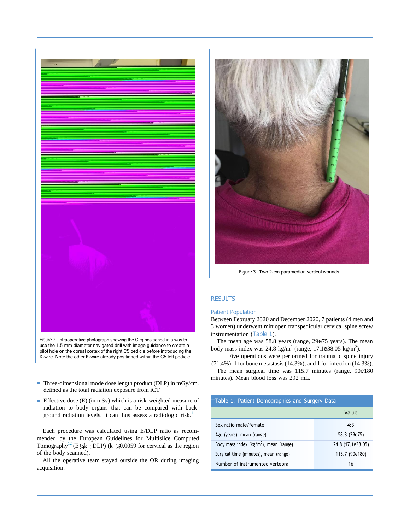



- Three-dimensional mode dose length product (DLP) in mGy/cm, defined as the total radiation exposure from iCT
- Effective dose (E) (in mSv) which is a risk-weighted measure of radiation to body organs that can be compared with background radiation levels. It can thus assess a radiologic risk. $11$

Tomography<sup>12</sup> (E<sub>1/4</sub>k  $\angle$ DLP) (k  $\angle$ <sub>1/4</sub>0.0059 for cervical as the region Each procedure was calculated using E/DLP ratio as recommended by the European Guidelines for Multislice Computed of the body scanned).

All the operative team stayed outside the OR during imaging acquisition.



Figure 3. Two 2-cm paramedian vertical wounds.

# <span id="page-3-0"></span>**RESULTS**

# Patient Population

Between February 2020 and December 2020, 7 patients (4 men and 3 women) underwent miniopen transpedicular cervical spine screw instrumentation ([Table](#page-3-1) 1).

The mean age was 58.8 years (range, 29e75 years). The mean body mass index was  $24.8 \text{ kg/m}^2$  (range, 17.1e38.05 kg/m<sup>2</sup>).

Five operations were performed for traumatic spine injury (71.4%), 1 for bone metastasis (14.3%), and 1 for infection (14.3%).

The mean surgical time was 115.7 minutes (range, 90e180 minutes). Mean blood loss was 292 mL.

<span id="page-3-1"></span>

| Table 1. Patient Demographics and Surgery Data     |                   |  |  |
|----------------------------------------------------|-------------------|--|--|
|                                                    | Value             |  |  |
| Sex ratio male/female                              | 4:3               |  |  |
| Age (years), mean (range)                          | 58.8 (29e75)      |  |  |
| Body mass index (kg/m <sup>2</sup> ), mean (range) | 24.8 (17.1e38.05) |  |  |
| Surgical time (minutes), mean (range)              | 115.7 (90e180)    |  |  |
| Number of instrumented vertebra                    | 16                |  |  |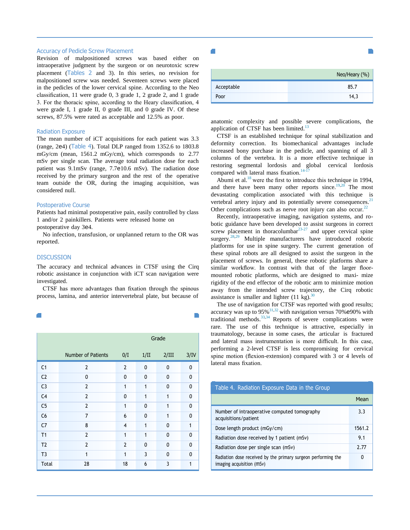#### Accuracy of Pedicle Screw Placement

Revision of malpositioned screws was based either on intraoperative judgment by the surgeon or on neurotoxic screw placement ([Tables](#page-4-0) 2 and [3\)](#page-4-1). In this series, no revision for malpositioned screw was needed. Seventeen screws were placed in the pedicles of the lower cervical spine. According to the Neo classification, 11 were grade 0, 3 grade 1, 2 grade 2, and 1 grade 3. For the thoracic spine, according to the Heary classification, 4 were grade I, 1 grade II, 0 grade III, and 0 grade IV. Of these screws, 87.5% were rated as acceptable and 12.5% as poor.

#### Radiation Exposure

The mean number of iCT acquisitions for each patient was 3.3 (range, 2e4) ([Table 4](#page-4-2)). Total DLP ranged from 1352.6 to 1803.8 mGy/cm (mean, 1561.2 mGy/cm), which corresponds to 2.77 mSv per single scan. The average total radiation dose for each patient was 9.1mSv (range, 7.7e10.6 mSv). The radiation dose received by the primary surgeon and the rest of the operative team outside the OR, during the imaging acquisition, was considered null.

### Postoperative Course

Patients had minimal postoperative pain, easily controlled by class 1 and/or 2 painkillers. Patients were released home on

postoperative day 3e4.

No infection, transfusion, or unplanned return to the OR was reported.

### **DISCUSSION**

The accuracy and technical advances in CTSF using the Cirq robotic assistance in conjunction with iCT scan navigation were investigated.

CTSF has more advantages than fixation through the spinous process, lamina, and anterior intervertebral plate, but because of

|  | <b>STATE</b> |  |
|--|--------------|--|
|  |              |  |
|  |              |  |
|  |              |  |
|  |              |  |
|  |              |  |
|  |              |  |
|  |              |  |
|  |              |  |
|  |              |  |
|  |              |  |
|  |              |  |
|  |              |  |
|  |              |  |
|  |              |  |
|  |              |  |
|  |              |  |
|  |              |  |
|  |              |  |
|  |              |  |
|  |              |  |
|  |              |  |
|  |              |  |
|  |              |  |
|  |              |  |
|  |              |  |
|  |              |  |
|  |              |  |
|  |              |  |

|                |                           | Grade          |              |              |              |
|----------------|---------------------------|----------------|--------------|--------------|--------------|
|                | <b>Number of Patients</b> | 0/I            | 1/II         | 2/III        | 3/IV         |
| C <sub>1</sub> | $\overline{2}$            | $\overline{2}$ | 0            | $\mathbf{0}$ | 0            |
| C <sub>2</sub> | 0                         | $\mathbf{0}$   | $\mathbf{0}$ | $\Omega$     | 0            |
| C <sub>3</sub> | $\overline{2}$            | 1              | 1            | $\mathbf{0}$ | $\mathbf{0}$ |
| C <sub>4</sub> | $\overline{2}$            | $\mathbf{0}$   | 1            | 1            | $\mathbf{0}$ |
| C <sub>5</sub> | $\overline{2}$            | 1              | $\mathbf{0}$ | 1            | $\Omega$     |
| C6             | $\overline{7}$            | 6              | 0            | 1            | 0            |
| C <sub>7</sub> | 8                         | $\overline{4}$ | 1            | $\Omega$     | 1            |
| T <sub>1</sub> | $\overline{2}$            | $\mathbf{1}$   | 1            | $\mathbf{0}$ | $\mathbf{0}$ |
| T <sub>2</sub> | $\overline{2}$            | $\overline{2}$ | $\Omega$     | $\Omega$     | $\Omega$     |
| T <sub>3</sub> | 1                         | 1              | 3            | $\Omega$     | $\Omega$     |
| <b>Total</b>   | 28                        | 18             | 6            | 3            | 1            |

|            | Neo/Heary (%) |
|------------|---------------|
| Acceptable | 85.7          |
| Poor       | 14.3          |

<span id="page-4-1"></span>п

anatomic complexity and possible severe complications, the application of CTSF has been limited. $13$ 

CTSF is an established technique for spinal stabilization and deformity correction. Its biomechanical advantages include increased bony purchase in the pedicle, and spanning of all 3 columns of the vertebra. It is a more effective technique in restoring segmental lordosis and global cervical lordosis compared with lateral mass fixation. $14-17$ 

Abumi et al. $^{18}$  were the first to introduce this technique in 1994, and there have been many other reports since.<sup>[19,](#page-5-13)[20](#page-6-0)</sup> The most devastating complication associated with this technique is vertebral artery injury and its potentially severe consequences. $21$ Other complications such as nerve root injury can also occur.<sup>[22](#page-6-2)</sup>

Recently, intraoperative imaging, navigation systems, and robotic guidance have been developed to assist surgeons in correct screw placement in thoracolumbar $23-27$  and upper cervical spine surgery.<sup>[28,](#page-6-4)[29](#page-6-5)</sup> Multiple manufacturers have introduced robotic platforms for use in spine surgery. The current generation of these spinal robots are all designed to assist the surgeon in the placement of screws. In general, these robotic platforms share a similar workflow. In contrast with that of the larger floormounted robotic platforms, which are designed to maxi- mize rigidity of the end effector of the robotic arm to minimize motion away from the intended screw trajectory, the Cirq robotic assistance is smaller and lighter  $(11 \text{ kg})$ .<sup>[30](#page-6-6)</sup>

<span id="page-4-0"></span>The use of navigation for CTSF was reported with good results; accuracy was up to  $95\%$ <sup>[31,](#page-6-7)32</sup> with navigation versus 70%e90% with traditional methods.[33,](#page-6-9)[34](#page-6-10) Reports of severe complications were rare. The use of this technique is attractive, especially in traumatology, because in some cases, the articular is fractured and lateral mass instrumentation is more difficult. In this case, performing a 2-level CTSF is less compromising for cervical spine motion (flexion-extension) compared with 3 or 4 levels of lateral mass fixation.

<span id="page-4-2"></span>

| Table 4. Radiation Exposure Data in the Group                                              |        |
|--------------------------------------------------------------------------------------------|--------|
|                                                                                            | Mean   |
| Number of intraoperative computed tomography<br>acquisitions/patient                       | 3.3    |
| Dose length product (mGy/cm)                                                               | 1561.2 |
| Radiation dose received by 1 patient (mSv)                                                 | 9.1    |
| Radiation dose per single scan (mSv)                                                       | 2.77   |
| Radiation dose received by the primary surgeon performing the<br>imaging acquisition (mSv) | 0      |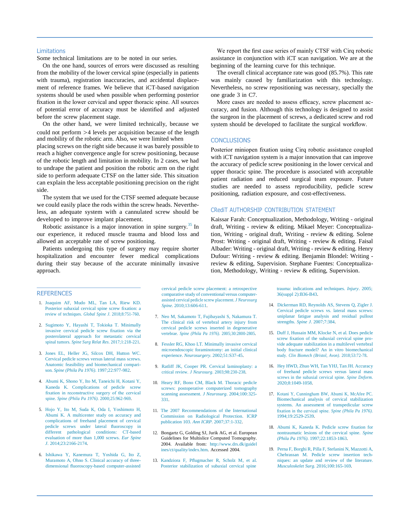# Limitations

Some technical limitations are to be noted in our series.

On the one hand, sources of errors were discussed as resulting from the mobility of the lower cervical spine (especially in patients with trauma), registration inaccuracies, and accidental displacement of reference frames. We believe that iCT-based navigation systems should be used when possible when performing posterior fixation in the lower cervical and upper thoracic spine. All sources of potential error of accuracy must be identified and adjusted before the screw placement stage.

On the other hand, we were limited technically, because we could not perform >4 levels per acquisition because of the length and mobility of the robotic arm. Also, we were limited when placing screws on the right side because it was barely possible to reach a higher convergence angle for screw positioning, because of the robotic length and limitation in mobility. In 2 cases, we had to undrape the patient and position the robotic arm on the right side to perform adequate CTSF on the latter side. This situation can explain the less acceptable positioning precision on the right side.

The system that we used for the CTSF seemed adequate because we could easily place the rods within the screw heads. Nevertheless, an adequate system with a cannulated screw should be developed to improve implant placement.

Robotic assistance is a major innovation in spine surgery.<sup>35</sup> In our experience, it reduced muscle trauma and blood loss and allowed an acceptable rate of screw positioning.

Patients undergoing this type of surgery may require shorter hospitalization and encounter fewer medical complications during their stay because of the accurate minimally invasive approach.

We report the first case series of mainly CTSF with Cirq robotic assistance in conjunction with iCT scan navigation. We are at the beginning of the learning curve for this technique.

The overall clinical acceptance rate was good (85.7%). This rate was mainly caused by familiarization with this technology. Nevertheless, no screw repositioning was necessary, specially the one grade 3 in C7.

More cases are needed to assess efficacy, screw placement accuracy, and fusion. Although this technology is designed to assist the surgeon in the placement of screws, a dedicated screw and rod system should be developed to facilitate the surgical workflow.

# **CONCLUSIONS**

Posterior miniopen fixation using Cirq robotic assistance coupled with iCT navigation system is a major innovation that can improve the accuracy of pedicle screw positioning in the lower cervical and upper thoracic spine. The procedure is associated with acceptable patient radiation and reduced surgical team exposure. Future studies are needed to assess reproducibility, pedicle screw positioning, radiation exposure, and cost-effectiveness.

# CRediT AUTHORSHIP CONTRIBUTION STATEMENT

Kaissar Farah: Conceptualization, Methodology, Writing - original draft, Writing - review & editing. Mikael Meyer: Conceptualization, Writing - original draft, Writing - review & editing. Solene Prost: Writing - original draft, Writing - review & editing. Faisal Albader: Writing - original draft, Writing - review & editing. Henry Dufour: Writing - review & editing. Benjamin Blondel: Writing review & editing, Supervision. Stephane Fuentes: Conceptualization, Methodology, Writing - review & editing, Supervision.

# <span id="page-5-0"></span>**REFERENCES**

- 1. [Joaquim](http://refhub.elsevier.com/S1878-8750(21)00521-0/sref1) AF, Mudo ML, Tan LA, Riew KD. [Posterior subaxial cervical](http://refhub.elsevier.com/S1878-8750(21)00521-0/sref1) spine screw [fixation: a](http://refhub.elsevier.com/S1878-8750(21)00521-0/sref1) review of techniques. *Global Spine J*. [2018;8:751-760.](http://refhub.elsevier.com/S1878-8750(21)00521-0/sref1)
- <span id="page-5-1"></span>2. [Sugimoto Y, Hayashi T, Tokioka T. Minimally](http://refhub.elsevier.com/S1878-8750(21)00521-0/sref2) [invasive](http://refhub.elsevier.com/S1878-8750(21)00521-0/sref2) cervical pedicle screw [fixation](http://refhub.elsevier.com/S1878-8750(21)00521-0/sref2) via the [posterolateral](http://refhub.elsevier.com/S1878-8750(21)00521-0/sref2) approach for metastatic cervical spinal tumors. *Spine Surg Relat Res*. [2017;1:218-221.](http://refhub.elsevier.com/S1878-8750(21)00521-0/sref2)
- <span id="page-5-2"></span>3. Jones EL, Heller JG, Silcox DH, [Hutton](http://refhub.elsevier.com/S1878-8750(21)00521-0/sref3) WC. [Cervical](http://refhub.elsevier.com/S1878-8750(21)00521-0/sref3) pedicle screws versus lateral mass screws. [Anatomic feasibility and biomechanical compari](http://refhub.elsevier.com/S1878-8750(21)00521-0/sref3)son. *Spine (Phila Pa 1976)*. [1997;22:977-982.](http://refhub.elsevier.com/S1878-8750(21)00521-0/sref3)
- <span id="page-5-3"></span>4. [Abumi K, Shono Y, Ito M, Taneichi H, Kotani Y,](http://refhub.elsevier.com/S1878-8750(21)00521-0/sref4) Kaneda K. [Complications](http://refhub.elsevier.com/S1878-8750(21)00521-0/sref4) of pedicle screw [fixation in reconstructive surgery of the cervical](http://refhub.elsevier.com/S1878-8750(21)00521-0/sref4) spine. *Spine (Phila Pa 1976)*. [2000;25:962-969.](http://refhub.elsevier.com/S1878-8750(21)00521-0/sref4)
- 5. Hojo Y, Ito M, Suda K, Oda I, [Yoshimoto](http://refhub.elsevier.com/S1878-8750(21)00521-0/sref5) H, [Abumi K. A multicenter study on accuracy and](http://refhub.elsevier.com/S1878-8750(21)00521-0/sref5) [complications of freehand placement of cervical](http://refhub.elsevier.com/S1878-8750(21)00521-0/sref5) [pedicle](http://refhub.elsevier.com/S1878-8750(21)00521-0/sref5) screws under lateral [fluoroscopy](http://refhub.elsevier.com/S1878-8750(21)00521-0/sref5) in different [pathological](http://refhub.elsevier.com/S1878-8750(21)00521-0/sref5) conditions: CT-based [evaluation](http://refhub.elsevier.com/S1878-8750(21)00521-0/sref5) of more than 1,000 screws. *Eur Spine J*. [2014;23:2166-2174.](http://refhub.elsevier.com/S1878-8750(21)00521-0/sref5)
- 6. Ishikawa Y, [Kanemura](http://refhub.elsevier.com/S1878-8750(21)00521-0/sref6) T, Yoshida G, Ito Z, [Muramoto A, Ohno S. Clinical accuracy of three](http://refhub.elsevier.com/S1878-8750(21)00521-0/sref6)[dimensional](http://refhub.elsevier.com/S1878-8750(21)00521-0/sref6) fluoroscopy-based [computer-assisted](http://refhub.elsevier.com/S1878-8750(21)00521-0/sref6)

[cervical pedicle screw placement: a retrospective](http://refhub.elsevier.com/S1878-8750(21)00521-0/sref6) comparative study of [conventional](http://refhub.elsevier.com/S1878-8750(21)00521-0/sref6) versus computerassisted cervical pedicle screw [placement.](http://refhub.elsevier.com/S1878-8750(21)00521-0/sref6) *J Neurosurg Spine*. [2010;13:606-611.](http://refhub.elsevier.com/S1878-8750(21)00521-0/sref6)

- <span id="page-5-6"></span>7. [Neo M, Sakamoto T, Fujibayashi S, Nakamura T.](http://refhub.elsevier.com/S1878-8750(21)00521-0/sref7) [The clinical risk of vertebral artery injury from](http://refhub.elsevier.com/S1878-8750(21)00521-0/sref7) cervical pedicle screws inserted in [degenerative](http://refhub.elsevier.com/S1878-8750(21)00521-0/sref7) vertebrae. *Spine (Phila Pa 1976)*. [2005;30:2800-2805.](http://refhub.elsevier.com/S1878-8750(21)00521-0/sref7)
- <span id="page-5-4"></span>8. Fessler RG, Khoo LT. [Minimally](http://refhub.elsevier.com/S1878-8750(21)00521-0/sref8) invasive cervical [microendoscopic foraminotomy: an initial clinical](http://refhub.elsevier.com/S1878-8750(21)00521-0/sref8) experience. *Neurosurgery*. [2002;51:S37-45.](http://refhub.elsevier.com/S1878-8750(21)00521-0/sref8)
- <span id="page-5-5"></span>9. [Ratliff JK, Cooper PR. Cervical laminoplasty: a](http://refhub.elsevier.com/S1878-8750(21)00521-0/sref9) critical review. *J Neurosurg*. [2003;98:230-238.](http://refhub.elsevier.com/S1878-8750(21)00521-0/sref9)
- <span id="page-5-7"></span>10. [Heary RF, Bono CM, Black M. Thoracic pedicle](http://refhub.elsevier.com/S1878-8750(21)00521-0/sref10) screws: postoperative [computerized](http://refhub.elsevier.com/S1878-8750(21)00521-0/sref10) tomography scanning [assessment.](http://refhub.elsevier.com/S1878-8750(21)00521-0/sref10) *J Neurosurg*. 2004;100[:325-](http://refhub.elsevier.com/S1878-8750(21)00521-0/sref10) [331.](http://refhub.elsevier.com/S1878-8750(21)00521-0/sref10)
- <span id="page-5-8"></span>11. [The 2007 Recommendations of the International](http://refhub.elsevier.com/S1878-8750(21)00521-0/sref11) Commission on [Radiological](http://refhub.elsevier.com/S1878-8750(21)00521-0/sref11) Protection. ICRP publication 103. *Ann ICRP*. [2007;37:1-332.](http://refhub.elsevier.com/S1878-8750(21)00521-0/sref11)
- <span id="page-5-9"></span>12. Bongartz G, Golding SJ, Jurik AG, et al. European Guidelines for Multislice Computed Tomography. 2004. Available from: [http://www.drs.dk/guidel](http://www.drs.dk/guidelines/ct/quality/index.htm) [ines/ct/quality/index.htm.](http://www.drs.dk/guidelines/ct/quality/index.htm) Accessed 2004.
- <span id="page-5-10"></span>13. [Kandziora](http://refhub.elsevier.com/S1878-8750(21)00521-0/sref13) F, P[flugmacher](http://refhub.elsevier.com/S1878-8750(21)00521-0/sref13) R, Scholz M, et al. Posterior [stabilization](http://refhub.elsevier.com/S1878-8750(21)00521-0/sref13) of subaxial cervical spine

trauma: indications and [techniques.](http://refhub.elsevier.com/S1878-8750(21)00521-0/sref13) *Injury*. 2005; 36(suppl [2\):B36-B43.](http://refhub.elsevier.com/S1878-8750(21)00521-0/sref13)

- <span id="page-5-11"></span>14. [Dickerman RD, Reynolds AS, Stevens Q, Zigler J.](http://refhub.elsevier.com/S1878-8750(21)00521-0/sref14) [Cervical pedicle screws vs. lateral mass](http://refhub.elsevier.com/S1878-8750(21)00521-0/sref14) screws: [uniplanar](http://refhub.elsevier.com/S1878-8750(21)00521-0/sref14) fatigue analysis and residual pullout strengths. *Spine J*. [2007;7:384.](http://refhub.elsevier.com/S1878-8750(21)00521-0/sref14)
- 15. Duff J, [Hussain](http://refhub.elsevier.com/S1878-8750(21)00521-0/sref15) MM, Klocke N, et al. Does pedicle [screw](http://refhub.elsevier.com/S1878-8750(21)00521-0/sref15) [fixation of the subaxial cervical spine pro](http://refhub.elsevier.com/S1878-8750(21)00521-0/sref15)[vide adequate stabilization in a multilevel vertebral](http://refhub.elsevier.com/S1878-8750(21)00521-0/sref15) [body fracture model? An in vitro biomechanical](http://refhub.elsevier.com/S1878-8750(21)00521-0/sref15) study. *Clin Biomech (Bristol, Avon)*. [2018;53:72-78.](http://refhub.elsevier.com/S1878-8750(21)00521-0/sref15)
- 16. Hey HWD, Zhuo WH, Tan YHJ, Tan JH. [Accuracy](http://refhub.elsevier.com/S1878-8750(21)00521-0/sref16) of [freehand](http://refhub.elsevier.com/S1878-8750(21)00521-0/sref16) pedicle screws versus lateral mass [screws in the subaxial cervical spine.](http://refhub.elsevier.com/S1878-8750(21)00521-0/sref16) *Spine Deform.* [2020;8:1049-1058.](http://refhub.elsevier.com/S1878-8750(21)00521-0/sref16)
- 17. [Kotani Y, Cunningham BW, Abumi K, McAfee PC.](http://refhub.elsevier.com/S1878-8750(21)00521-0/sref17) [Biomechanical](http://refhub.elsevier.com/S1878-8750(21)00521-0/sref17) analysis of cervical stabilization systems. An assessment [of transpedicular](http://refhub.elsevier.com/S1878-8750(21)00521-0/sref17) screw [fixation in the cervical spine.](http://refhub.elsevier.com/S1878-8750(21)00521-0/sref17) *Spine (Phila Pa 1976).* [1994;19:2529-2539.](http://refhub.elsevier.com/S1878-8750(21)00521-0/sref17)
- <span id="page-5-12"></span>18. [Abumi K, Kaneda K. Pedicle screw](http://refhub.elsevier.com/S1878-8750(21)00521-0/sref18) [fixation for](http://refhub.elsevier.com/S1878-8750(21)00521-0/sref18) [nontraumatic lesions of the cervical spine.](http://refhub.elsevier.com/S1878-8750(21)00521-0/sref18) *Spine (Phila Pa 1976)*[. 1997;22:1853-1863.](http://refhub.elsevier.com/S1878-8750(21)00521-0/sref18)
- <span id="page-5-13"></span>19. Perna F, Borghi R, Pilla F, [Stefanini](http://refhub.elsevier.com/S1878-8750(21)00521-0/sref19) N, Mazzotti A, [Chehrassan](http://refhub.elsevier.com/S1878-8750(21)00521-0/sref19) M. Pedicle screw insertion techniques: an update and review of the [literature.](http://refhub.elsevier.com/S1878-8750(21)00521-0/sref19) *Musculoskelet Surg*. [2016;100:165-169.](http://refhub.elsevier.com/S1878-8750(21)00521-0/sref19)